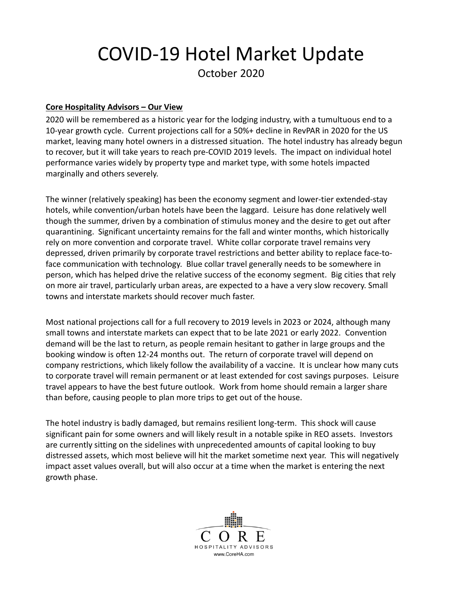## COVID‐19 Hotel Market Update October 2020

## **Core Hospitality Advisors – Our View**

2020 will be remembered as a historic year for the lodging industry, with a tumultuous end to a 10‐year growth cycle. Current projections call for a 50%+ decline in RevPAR in 2020 for the US market, leaving many hotel owners in a distressed situation. The hotel industry has already begun to recover, but it will take years to reach pre‐COVID 2019 levels. The impact on individual hotel performance varies widely by property type and market type, with some hotels impacted marginally and others severely.

The winner (relatively speaking) has been the economy segment and lower‐tier extended‐stay hotels, while convention/urban hotels have been the laggard. Leisure has done relatively well though the summer, driven by a combination of stimulus money and the desire to get out after quarantining. Significant uncertainty remains for the fall and winter months, which historically rely on more convention and corporate travel. White collar corporate travel remains very depressed, driven primarily by corporate travel restrictions and better ability to replace face-toface communication with technology. Blue collar travel generally needs to be somewhere in person, which has helped drive the relative success of the economy segment. Big cities that rely on more air travel, particularly urban areas, are expected to a have a very slow recovery. Small towns and interstate markets should recover much faster.

Most national projections call for a full recovery to 2019 levels in 2023 or 2024, although many small towns and interstate markets can expect that to be late 2021 or early 2022. Convention demand will be the last to return, as people remain hesitant to gather in large groups and the booking window is often 12‐24 months out. The return of corporate travel will depend on company restrictions, which likely follow the availability of a vaccine. It is unclear how many cuts to corporate travel will remain permanent or at least extended for cost savings purposes. Leisure travel appears to have the best future outlook. Work from home should remain a larger share than before, causing people to plan more trips to get out of the house.

The hotel industry is badly damaged, but remains resilient long‐term. This shock will cause significant pain for some owners and will likely result in a notable spike in REO assets. Investors are currently sitting on the sidelines with unprecedented amounts of capital looking to buy distressed assets, which most believe will hit the market sometime next year. This will negatively impact asset values overall, but will also occur at a time when the market is entering the next growth phase.

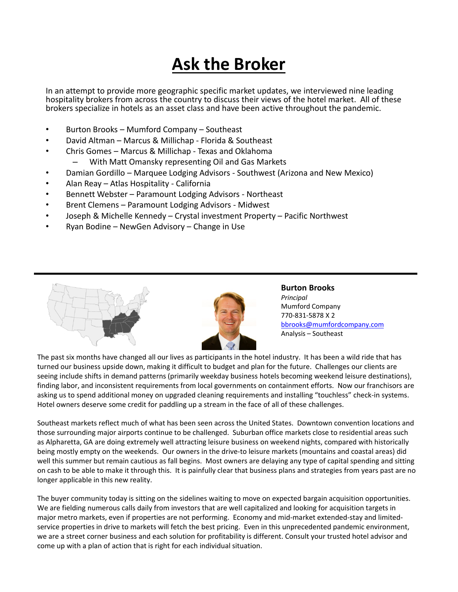## **Ask the Broker**

In an attempt to provide more geographic specific market updates, we interviewed nine leading hospitality brokers from across the country to discuss their views of the hotel market. All of these brokers specialize in hotels as an asset class and have been active throughout the pandemic.

- Burton Brooks Mumford Company Southeast
- David Altman Marcus & Millichap ‐ Florida & Southeast
- Chris Gomes Marcus & Millichap ‐ Texas and Oklahoma
	- With Matt Omansky representing Oil and Gas Markets
- Damian Gordillo Marquee Lodging Advisors Southwest (Arizona and New Mexico)
- Alan Reay Atlas Hospitality ‐ California
- Bennett Webster Paramount Lodging Advisors ‐ Northeast
- Brent Clemens Paramount Lodging Advisors ‐ Midwest
- Joseph & Michelle Kennedy Crystal investment Property Pacific Northwest
- Ryan Bodine NewGen Advisory Change in Use



**Burton Brooks** *Principal* Mumford Company 770‐831‐5878 X 2 bbrooks@mumfordcompany.com Analysis – Southeast

The past six months have changed all our lives as participants in the hotel industry. It has been a wild ride that has turned our business upside down, making it difficult to budget and plan for the future. Challenges our clients are seeing include shifts in demand patterns (primarily weekday business hotels becoming weekend leisure destinations), finding labor, and inconsistent requirements from local governments on containment efforts. Now our franchisors are asking us to spend additional money on upgraded cleaning requirements and installing "touchless" check-in systems. Hotel owners deserve some credit for paddling up a stream in the face of all of these challenges.

Southeast markets reflect much of what has been seen across the United States. Downtown convention locations and those surrounding major airports continue to be challenged. Suburban office markets close to residential areas such as Alpharetta, GA are doing extremely well attracting leisure business on weekend nights, compared with historically being mostly empty on the weekends. Our owners in the drive-to leisure markets (mountains and coastal areas) did well this summer but remain cautious as fall begins. Most owners are delaying any type of capital spending and sitting on cash to be able to make it through this. It is painfully clear that business plans and strategies from years past are no longer applicable in this new reality.

The buyer community today is sitting on the sidelines waiting to move on expected bargain acquisition opportunities. We are fielding numerous calls daily from investors that are well capitalized and looking for acquisition targets in major metro markets, even if properties are not performing. Economy and mid‐market extended‐stay and limited‐ service properties in drive to markets will fetch the best pricing. Even in this unprecedented pandemic environment, we are a street corner business and each solution for profitability is different. Consult your trusted hotel advisor and come up with a plan of action that is right for each individual situation.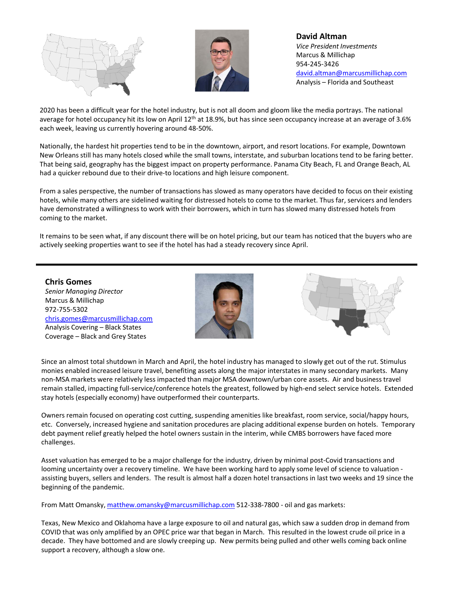



**David Altman** *Vice President Investments* Marcus & Millichap 954‐245‐3426 david.altman@marcusmillichap.com Analysis – Florida and Southeast

2020 has been a difficult year for the hotel industry, but is not all doom and gloom like the media portrays. The national average for hotel occupancy hit its low on April  $12^{th}$  at 18.9%, but has since seen occupancy increase at an average of 3.6% each week, leaving us currently hovering around 48‐50%.

Nationally, the hardest hit properties tend to be in the downtown, airport, and resort locations. For example, Downtown New Orleans still has many hotels closed while the small towns, interstate, and suburban locations tend to be faring better. That being said, geography has the biggest impact on property performance. Panama City Beach, FL and Orange Beach, AL had a quicker rebound due to their drive-to locations and high leisure component.

From a sales perspective, the number of transactions has slowed as many operators have decided to focus on their existing hotels, while many others are sidelined waiting for distressed hotels to come to the market. Thus far, servicers and lenders have demonstrated a willingness to work with their borrowers, which in turn has slowed many distressed hotels from coming to the market.

It remains to be seen what, if any discount there will be on hotel pricing, but our team has noticed that the buyers who are actively seeking properties want to see if the hotel has had a steady recovery since April.

**Chris Gomes** *Senior Managing Director* Marcus & Millichap 972‐755‐5302 chris.gomes@marcusmillichap.com Analysis Covering – Black States Coverage – Black and Grey States





Since an almost total shutdown in March and April, the hotel industry has managed to slowly get out of the rut. Stimulus monies enabled increased leisure travel, benefiting assets along the major interstates in many secondary markets. Many non‐MSA markets were relatively less impacted than major MSA downtown/urban core assets. Air and business travel remain stalled, impacting full‐service/conference hotels the greatest, followed by high‐end select service hotels. Extended stay hotels (especially economy) have outperformed their counterparts.

Owners remain focused on operating cost cutting, suspending amenities like breakfast, room service, social/happy hours, etc. Conversely, increased hygiene and sanitation procedures are placing additional expense burden on hotels. Temporary debt payment relief greatly helped the hotel owners sustain in the interim, while CMBS borrowers have faced more challenges.

Asset valuation has emerged to be a major challenge for the industry, driven by minimal post‐Covid transactions and looming uncertainty over a recovery timeline. We have been working hard to apply some level of science to valuation assisting buyers, sellers and lenders. The result is almost half a dozen hotel transactions in last two weeks and 19 since the beginning of the pandemic.

From Matt Omansky, matthew.omansky@marcusmillichap.com 512-338-7800 - oil and gas markets:

Texas, New Mexico and Oklahoma have a large exposure to oil and natural gas, which saw a sudden drop in demand from COVID that was only amplified by an OPEC price war that began in March. This resulted in the lowest crude oil price in a decade. They have bottomed and are slowly creeping up. New permits being pulled and other wells coming back online support a recovery, although a slow one.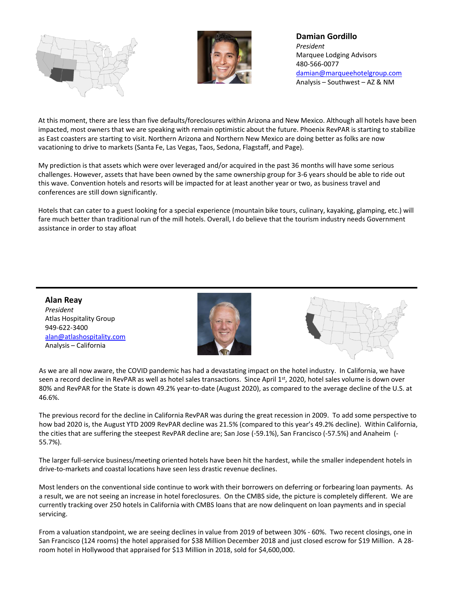



**Damian Gordillo** *President* Marquee Lodging Advisors 480‐566‐0077 damian@marqueehotelgroup.com Analysis – Southwest – AZ & NM

At this moment, there are less than five defaults/foreclosures within Arizona and New Mexico. Although all hotels have been impacted, most owners that we are speaking with remain optimistic about the future. Phoenix RevPAR is starting to stabilize as East coasters are starting to visit. Northern Arizona and Northern New Mexico are doing better as folks are now vacationing to drive to markets (Santa Fe, Las Vegas, Taos, Sedona, Flagstaff, and Page).

My prediction is that assets which were over leveraged and/or acquired in the past 36 months will have some serious challenges. However, assets that have been owned by the same ownership group for 3‐6 years should be able to ride out this wave. Convention hotels and resorts will be impacted for at least another year or two, as business travel and conferences are still down significantly.

Hotels that can cater to a guest looking for a special experience (mountain bike tours, culinary, kayaking, glamping, etc.) will fare much better than traditional run of the mill hotels. Overall, I do believe that the tourism industry needs Government assistance in order to stay afloat

**Alan Reay** *President* Atlas Hospitality Group 949‐622‐3400 alan@atlashospitality.com Analysis – California





As we are all now aware, the COVID pandemic has had a devastating impact on the hotel industry. In California, we have seen a record decline in RevPAR as well as hotel sales transactions. Since April 1st, 2020, hotel sales volume is down over 80% and RevPAR for the State is down 49.2% year-to-date (August 2020), as compared to the average decline of the U.S. at 46.6%.

The previous record for the decline in California RevPAR was during the great recession in 2009. To add some perspective to how bad 2020 is, the August YTD 2009 RevPAR decline was 21.5% (compared to this year's 49.2% decline). Within California, the cities that are suffering the steepest RevPAR decline are; San Jose (‐59.1%), San Francisco (‐57.5%) and Anaheim (‐ 55.7%).

The larger full‐service business/meeting oriented hotels have been hit the hardest, while the smaller independent hotels in drive‐to‐markets and coastal locations have seen less drastic revenue declines.

Most lenders on the conventional side continue to work with their borrowers on deferring or forbearing loan payments. As a result, we are not seeing an increase in hotel foreclosures. On the CMBS side, the picture is completely different. We are currently tracking over 250 hotels in California with CMBS loans that are now delinquent on loan payments and in special servicing.

From a valuation standpoint, we are seeing declines in value from 2019 of between 30% ‐ 60%. Two recent closings, one in San Francisco (124 rooms) the hotel appraised for \$38 Million December 2018 and just closed escrow for \$19 Million. A 28‐ room hotel in Hollywood that appraised for \$13 Million in 2018, sold for \$4,600,000.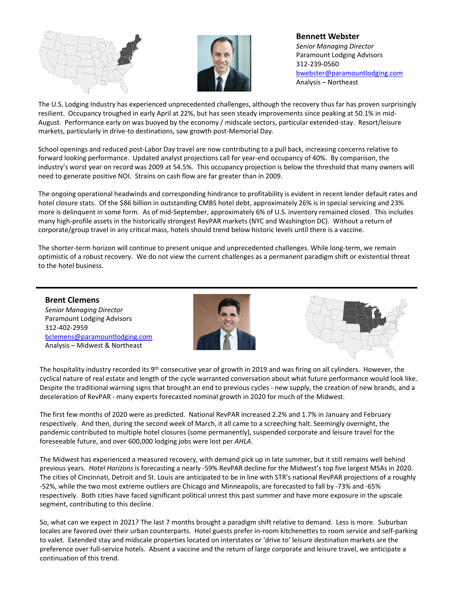



**Bennett Webster** *Senior Managing Director* Paramount Lodging Advisors 312‐239‐0560 bwebster@paramountlodging.com Analysis – Northeast

The U.S. Lodging Industry has experienced unprecedented challenges, although the recovery thus far has proven surprisingly resilient. Occupancy troughed in early April at 22%, but has seen steady improvements since peaking at 50.1% in mid‐ August. Performance early on was buoyed by the economy / midscale sectors, particular extended‐stay. Resort/leisure markets, particularly in drive-to destinations, saw growth post-Memorial Day.

School openings and reduced post‐Labor Day travel are now contributing to a pull back, increasing concerns relative to forward looking performance. Updated analyst projections call for year-end occupancy of 40%. By comparison, the industry's worst year on record was 2009 at 54.5%. This occupancy projection is below the threshold that many owners will need to generate positive NOI. Strains on cash flow are far greater than in 2009.

The ongoing operational headwinds and corresponding hindrance to profitability is evident in recent lender default rates and hotel closure stats. Of the \$86 billion in outstanding CMBS hotel debt, approximately 26% is in special servicing and 23% more is delinquent in some form. As of mid‐September, approximately 6% of U.S. inventory remained closed. This includes many high‐profile assets in the historically strongest RevPAR markets (NYC and Washington DC). Without a return of corporate/group travel in any critical mass, hotels should trend below historic levels until there is a vaccine.

The shorter‐term horizon will continue to present unique and unprecedented challenges. While long‐term, we remain optimistic of a robust recovery. We do not view the current challenges as a permanent paradigm shift or existential threat to the hotel business.

**Brent Clemens** *Senior Managing Director* Paramount Lodging Advisors 312‐402‐2959 bclemens@paramountlodging.com Analysis – Midwest & Northeast





The hospitality industry recorded its 9<sup>th</sup> consecutive year of growth in 2019 and was firing on all cylinders. However, the cyclical nature of real estate and length of the cycle warranted conversation about what future performance would look like. Despite the traditional warning signs that brought an end to previous cycles ‐ new supply, the creation of new brands, and a deceleration of RevPAR ‐ many experts forecasted nominal growth in 2020 for much of the Midwest.

The first few months of 2020 were as predicted. National RevPAR increased 2.2% and 1.7% in January and February respectively. And then, during the second week of March, it all came to a screeching halt. Seemingly overnight, the pandemic contributed to multiple hotel closures (some permanently), suspended corporate and leisure travel for the foreseeable future, and over 600,000 lodging jobs were lost per *AHLA*.

The Midwest has experienced a measured recovery, with demand pick up in late summer, but it still remains well behind previous years. *Hotel Horizons* is forecasting a nearly ‐59% RevPAR decline for the Midwest's top five largest MSAs in 2020. The cities of Cincinnati, Detroit and St. Louis are anticipated to be in line with STR's national RevPAR projections of a roughly ‐52%, while the two most extreme outliers are Chicago and Minneapolis, are forecasted to fall by ‐73% and ‐65% respectively. Both cities have faced significant political unrest this past summer and have more exposure in the upscale segment, contributing to this decline.

So, what can we expect in 2021? The last 7 months brought a paradigm shift relative to demand. Less is more. Suburban locales are favored over their urban counterparts. Hotel guests prefer in‐room kitchenettes to room service and self‐parking to valet. Extended stay and midscale properties located on interstates or 'drive to' leisure destination markets are the preference over full‐service hotels. Absent a vaccine and the return of large corporate and leisure travel, we anticipate a continuation of this trend.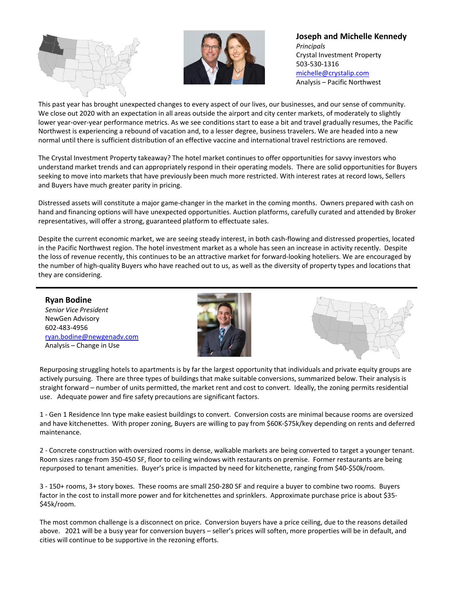



**Joseph and Michelle Kennedy** *Principals* Crystal Investment Property 503‐530‐1316 michelle@crystalip.com Analysis – Pacific Northwest

This past year has brought unexpected changes to every aspect of our lives, our businesses, and our sense of community. We close out 2020 with an expectation in all areas outside the airport and city center markets, of moderately to slightly lower year‐over‐year performance metrics. As we see conditions start to ease a bit and travel gradually resumes, the Pacific Northwest is experiencing a rebound of vacation and, to a lesser degree, business travelers. We are headed into a new normal until there is sufficient distribution of an effective vaccine and international travel restrictions are removed.

The Crystal Investment Property takeaway? The hotel market continues to offer opportunities for savvy investors who understand market trends and can appropriately respond in their operating models. There are solid opportunities for Buyers seeking to move into markets that have previously been much more restricted. With interest rates at record lows, Sellers and Buyers have much greater parity in pricing.

Distressed assets will constitute a major game‐changer in the market in the coming months. Owners prepared with cash on hand and financing options will have unexpected opportunities. Auction platforms, carefully curated and attended by Broker representatives, will offer a strong, guaranteed platform to effectuate sales.

Despite the current economic market, we are seeing steady interest, in both cash-flowing and distressed properties, located in the Pacific Northwest region. The hotel investment market as a whole has seen an increase in activity recently. Despite the loss of revenue recently, this continues to be an attractive market for forward‐looking hoteliers. We are encouraged by the number of high‐quality Buyers who have reached out to us, as well as the diversity of property types and locations that they are considering.

**Ryan Bodine** *Senior Vice President* NewGen Advisory 602‐483‐4956 ryan.bodine@newgenadv.com Analysis – Change in Use



Repurposing struggling hotels to apartments is by far the largest opportunity that individuals and private equity groups are actively pursuing. There are three types of buildings that make suitable conversions, summarized below. Their analysis is straight forward – number of units permitted, the market rent and cost to convert. Ideally, the zoning permits residential use. Adequate power and fire safety precautions are significant factors.

1 ‐ Gen 1 Residence Inn type make easiest buildings to convert. Conversion costs are minimal because rooms are oversized and have kitchenettes. With proper zoning, Buyers are willing to pay from \$60K‐\$75k/key depending on rents and deferred maintenance.

2 ‐ Concrete construction with oversized rooms in dense, walkable markets are being converted to target a younger tenant. Room sizes range from 350‐450 SF, floor to ceiling windows with restaurants on premise. Former restaurants are being repurposed to tenant amenities. Buyer's price is impacted by need for kitchenette, ranging from \$40‐\$50k/room.

3 ‐ 150+ rooms, 3+ story boxes. These rooms are small 250‐280 SF and require a buyer to combine two rooms. Buyers factor in the cost to install more power and for kitchenettes and sprinklers. Approximate purchase price is about \$35‐ \$45k/room.

The most common challenge is a disconnect on price. Conversion buyers have a price ceiling, due to the reasons detailed above. 2021 will be a busy year for conversion buyers – seller's prices will soften, more properties will be in default, and cities will continue to be supportive in the rezoning efforts.